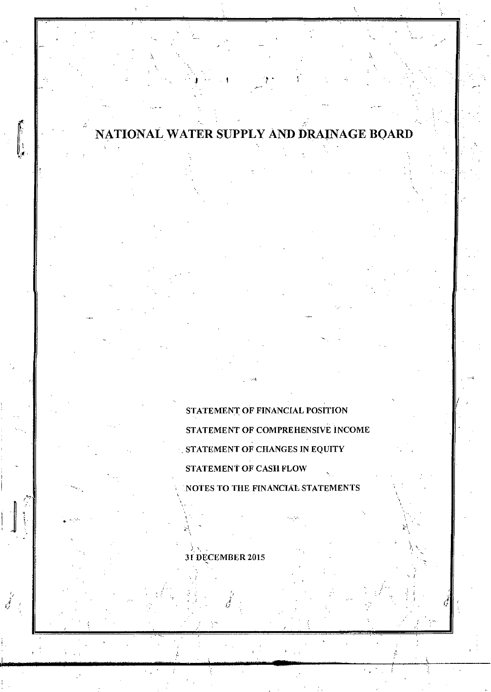# NATIONAL WATER SUPPLY AND DRAINAGE BOARD

 $\Vert$  ,

STATEMENT OF FINANCIAL POSITION STATEMENT OF COMPREHENSIVE INCOME , STATEMENT OF CHANGES IN EQUITY

STATEMENT OF CASH FLOW

NOTES TO THE FINANCIAL STATEMENTS

31 DECEMBER 2015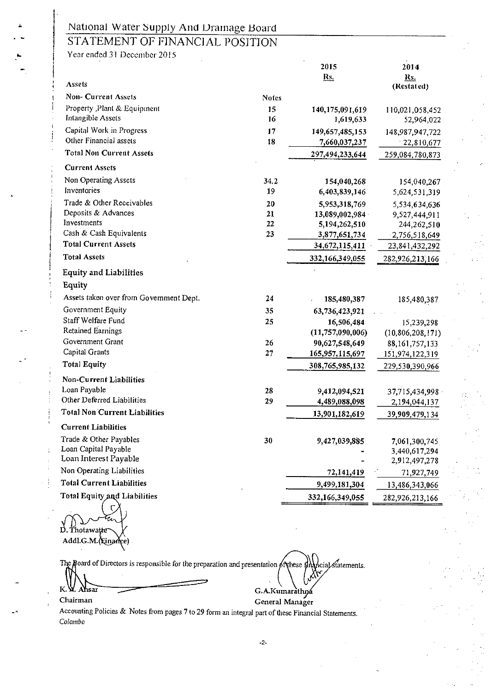### STATEMENT OF FINANCIAL POSITION

Year ended 31 December 2015

1

|                                         |              | 2015                | 2014                |
|-----------------------------------------|--------------|---------------------|---------------------|
|                                         |              | <u>Rs.</u>          | Rs.                 |
| Assets                                  |              |                     | (Restated)          |
| <b>Non- Current Assets</b>              | <b>Notes</b> |                     |                     |
| Property , Plant & Equipment            | 15           | 140,175,091,619     | 110,021,058,452     |
| Intangible Assets                       | 16           | 1,619,633           | 52,964,022          |
| Capital Work in Progress                | 17           | 149,657,485,153     | 148,987,947,722     |
| Other Financial assets                  | 18           | 7,660,037,237       | 22,810,677          |
| <b>Total Non Current Assets</b>         |              | 297,494,233,644     | 259,084,780,873     |
| <b>Current Assets</b>                   |              |                     |                     |
| Non Operating Assets                    | 34.2         | 154,040,268         | 154,040,267         |
| Inventories                             | 19           | 6,403,839,146       | 5,624,531,319       |
| Trade & Other Receivables               | 20           | 5,953,318,769       | 5,534,634,636       |
| Deposits & Advances                     | 21           | 13,089,002,984      | 9,527,444,911       |
| Investments                             | 22           | 5,194,262,510       | 244,262,510         |
| Cash & Cash Equivalents                 | 23           | 3,877,651,734       | 2,756,518,649       |
| <b>Total Current Assets</b>             |              | 34,672,115,411      | 23,841,432,292      |
| <b>Total Assets</b>                     |              | 332,166,349,055     | 282,926,213,166     |
| <b>Equity and Liabilities</b>           |              |                     |                     |
| Equity                                  |              |                     |                     |
| Assets taken over from Government Dept. | 24           | 185,480,387         | 185,480,387         |
| Government Equity                       | 35           | 63,736,423,921      |                     |
| Staff Welfare Fund                      | 25           | 16,506,484          | 15,239,298          |
| Retained Earnings                       |              | (11, 757, 090, 006) | (10, 806, 208, 171) |
| Government Grant                        | 26           | 90,627,548,649      | 88,161,757,133      |
| Capital Grants                          | 27           | 165,957,115,697     | 151,974,122,319     |
| <b>Total Equity</b>                     |              | 308,765,985,132     | 229,530,390,966     |
| Non-Current Liabilities                 |              |                     |                     |
| Loan Payable                            | 28           | 9,412,094,521       | 37,715,434,998      |
| Other Deferred Liabilities              | 29           | 4,489,088,098       | 2,194,044,137       |
| <b>Total Non Current Liabilities</b>    |              | 13,901,182,619      | 39,909,479,134      |
| <b>Current Liabilities</b>              |              |                     |                     |
| Trade & Other Payables                  | 30           | 9,427,039,885       | 7,061,300,745       |
| Loan Capital Payable                    |              |                     | 3,440,617,294       |
| Loan Interest Payable                   |              |                     | 2,912,497,278       |
| Non Operating Liabilities               |              | <u>72,141,419</u>   | 71,927,749          |
| <b>Total Current Liabilities</b>        |              | 9,499,181,304       | 13,486,343,066      |
| Total Equity and Liabilities            |              | 332,166,349,055     | 282,926,213,166     |

D. Thotawatte Addl.G.M. Einame)

The Roard of Directors is responsible for the preparation and presentation of these  $\sharp \Lambda$ hcial statements.  $\left(\mathcal{X}\right)$ 

 $K$  W. Ahsar

K. W. Ahsar G.A.Kumarathna<br>Chairman General Manager General Manager

Accounting Policies & Notes from pages 7 to 29 form an integral part of these Financial Statements. *Colombo*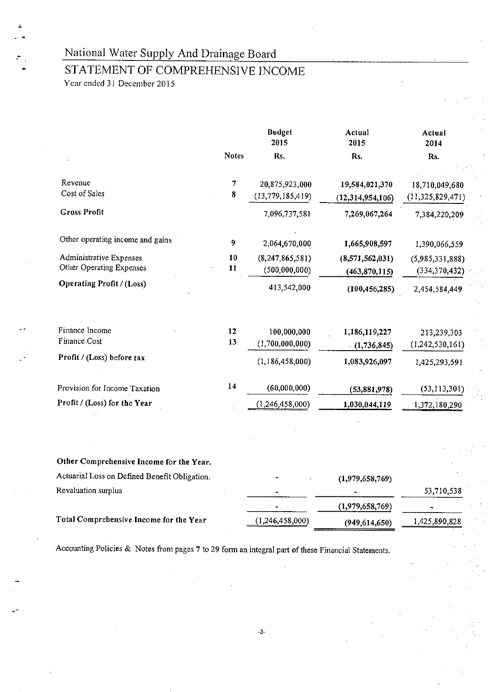## STATEMENT OF COMPREHENSIVE INCOME

Year ended 31 December 2015

|                                  |              | <b>Budget</b><br>2015          | Actual<br>2015      | Actual<br>2014   |
|----------------------------------|--------------|--------------------------------|---------------------|------------------|
|                                  | <b>Notes</b> | Rs.                            | Rs.                 | Rs.              |
| Revenue                          | 7            | 20,875,923,000                 | 19,584,021,370      | 18,710,049,680   |
| Cost of Sales                    | 8            | (13,779,185,419)               | (12, 314, 954, 106) | (11,325,829,471) |
| <b>Gross Profit</b>              |              | 7,096,737,581                  | 7,269,067,264       | 7,384,220,209    |
| Other operating income and gains | 9            | 2,064,670,000                  | 1,665,908,597       | 1,390,066,559    |
| Administrative Expenses          | 10           | (8, 247, 865, 581)             | (8,571,562,031)     | (5,985,331,888)  |
| Other Operating Expenses         | 11           | (500,000,000)                  | (463,870,115)       | (334, 370, 432)  |
| <b>Operating Profit / (Loss)</b> |              | 413,542,000                    | (100, 456, 285)     | 2,454,584,449    |
|                                  |              |                                |                     |                  |
| Finance Income<br>Finance Cost   | 12<br>13     | 100,000,000<br>(1,700,000,000) | 1,186,119,227       | 213,239,303      |
|                                  |              |                                | (1,736,845)         | (1,242,530,161)  |
| Profit / (Loss) before tax       |              | (1,186,458,000)                | 1,083,926,097       | 1,425,293,591    |
| Provision for Income Taxation    | 14           | (60,000,000)                   | (53,881,978)        | (53, 113, 301)   |
| Profit / (Loss) for the Year     |              | (1,246,458,000)                | 1,030,044,119       | 1,372,180,290    |
|                                  |              |                                |                     |                  |

| Other Comprehensive Income for the Year.      |                 |                 |               |
|-----------------------------------------------|-----------------|-----------------|---------------|
| Actuarial Loss on Defined Benefit Obligation. |                 | (1,979,658,769) |               |
| Revaluation surplus                           | -               | -               | 53,710,538    |
|                                               |                 | (1,979,658,769) | -             |
| Total Comprehensive Income for the Year       | (1,246,458,000) | (949, 614, 650) | 1.425,890.828 |

Accounting Policies & Notes from pages 7 to 29 form an integral part of these Financial Statements.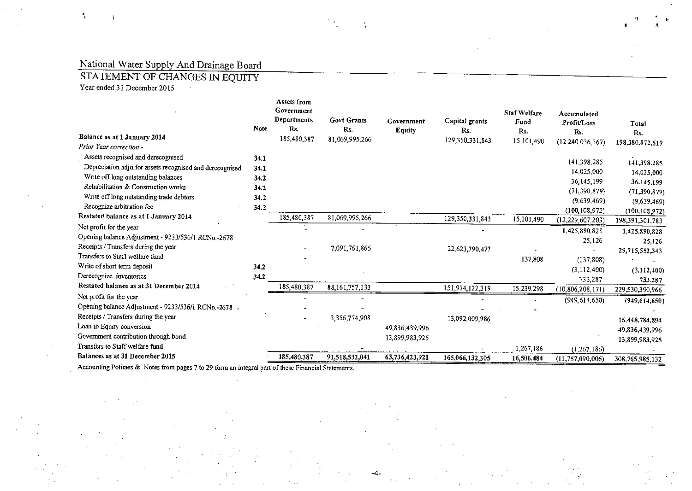STATEMENT OF CHANGES IN EQUITY

Year ended 31 December 2015

÷,

| Balance as at 1 January 2014                             | <b>Note</b> | Assets from<br>Government<br>Departments<br>Rs.<br>185,480,387 | <b>Govt Grants</b><br>Rs.<br>81,069,995,266 | Government<br><b>Equity</b> | Capital grants<br>Rs.<br>129, 350, 331, 843 | Staf Welfare<br>Fund<br>Rs.<br>15,101,490 | Accumulated<br>Profit/Loss<br>Rs.<br>(12, 240, 036, 367) | Total<br>Rs.<br>198,380,872,619 |
|----------------------------------------------------------|-------------|----------------------------------------------------------------|---------------------------------------------|-----------------------------|---------------------------------------------|-------------------------------------------|----------------------------------------------------------|---------------------------------|
| Prior Year correction -                                  |             |                                                                |                                             |                             |                                             |                                           |                                                          |                                 |
| Assets recognised and derecognised                       | 34.1        |                                                                |                                             |                             |                                             |                                           | 141,398,285                                              | 141.398.285                     |
| Depreciation adju for assets recognised and derecognised | 34.1        |                                                                |                                             |                             |                                             |                                           | 14,025,000                                               | 14,025.000                      |
| Write off long outstanding balances                      | 34.2        |                                                                |                                             |                             |                                             |                                           | 36,145,199                                               | 36,145,199                      |
| Rehabilitation & Construction works                      | 34.2        |                                                                |                                             |                             |                                             |                                           | (71, 390, 879)                                           | (71,390,879)                    |
| Write off long outstanding trade debtors                 | 34.2        |                                                                |                                             |                             |                                             |                                           | (9,639,469)                                              | (9,639,469)                     |
| Recognize arbitration fee                                | 34.2        |                                                                |                                             |                             |                                             |                                           | (100, 108, 972)                                          | (100, 108, 972)                 |
| Restated balance as at 1 January 2014                    |             | 185,480,387                                                    | 81,069,995,266                              |                             | 129, 350, 331, 843                          | 15,101,490                                | (12, 229, 607, 203)                                      | 198.391.301.783                 |
| Net profit for the year                                  |             |                                                                |                                             |                             |                                             |                                           | 1,425,890,828                                            | 1,425,890,828                   |
| Opening balance Adjustment - 9233/536/1 RCNo.-2678       |             |                                                                |                                             |                             |                                             |                                           | 25,126                                                   | 25,126                          |
| Receipts / Transfers during the year                     |             |                                                                | 7,091,761,866                               |                             | 22,623,790,477                              |                                           |                                                          | 29,715,552,343                  |
| Transfers to Staff welfare fund                          |             |                                                                |                                             |                             |                                             | 137,808                                   | (137,808)                                                |                                 |
| Write of short term deposit                              | 34.2        |                                                                |                                             |                             |                                             |                                           | (3,112,400)                                              |                                 |
| Derecognize inventories                                  | 34.2        |                                                                |                                             |                             |                                             |                                           | 733,287                                                  | (3, 112, 400)<br>733,287        |
| Restated halance as at 31 December 2014                  |             | 185,480,387                                                    | 88, 161, 757, 133                           |                             | 151,974,122,319                             | 15,239,298                                | (10, 806, 208, 171)                                      | 229,530,390,966                 |
| Net profit for the year                                  |             |                                                                |                                             |                             |                                             |                                           | (949, 614, 650)                                          | (949, 614, 650)                 |
| Opening balance Adjustment - 9233/536/1 RCNo.-2678 -     |             |                                                                |                                             |                             |                                             |                                           |                                                          |                                 |
| Receipts / Transfers during the year                     |             |                                                                | 3,356,774,908                               |                             | 13,092,009,986                              |                                           |                                                          | 16,448,784,894                  |
| Loan to Equity conversion                                |             |                                                                |                                             | 49,836,439,996              |                                             |                                           |                                                          | 49.836,439,996                  |
| Government contribution through bond                     |             |                                                                |                                             | 13,899,983,925              |                                             |                                           |                                                          |                                 |
| Transfers to Staff welfare fund                          |             |                                                                |                                             |                             |                                             | 1,267,186                                 | (1, 267, 186)                                            | 13,899,983,925                  |
| Balances as at 31 December 2015                          |             | 185,480.387                                                    | 91,518,532,041                              | 63,736,423,921              | 165,066,132,305                             | 16,506,484                                | (11, 757, 090, 006)                                      | 308, 765, 985, 132              |
| A conception Delising R. Minerallis                      |             |                                                                |                                             |                             |                                             |                                           |                                                          |                                 |

Accounting Policies & Notes from pages 7 to 29 form an integral part of these Financial Statements.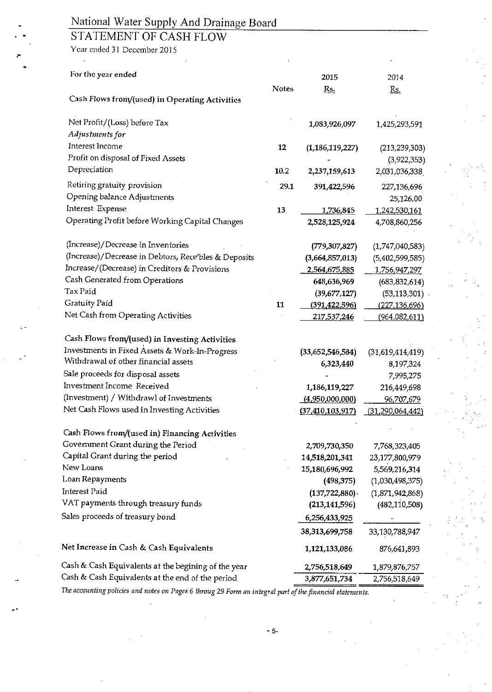### STATEMENT OF CASH FLOW

Year ended 31 December 2015

 $\ddot{\phantom{a}}$ 

| For the year ended                                   |              | 2015             | 2014                |
|------------------------------------------------------|--------------|------------------|---------------------|
|                                                      | <b>Notes</b> | Rs.              | <u>Rs.</u>          |
| Cash Flows from/(used) in Operating Activities       |              |                  |                     |
| Net Profit/(Loss) before Tax                         |              | 1,083,926,097    | 1,425,293,591       |
| Adjustments for                                      |              |                  |                     |
| Interest Income                                      | 12           | (1,186,119,227)  | (213, 239, 303)     |
| Profit on disposal of Fixed Assets                   |              |                  | (3,922,353)         |
| Depreciation                                         | 10.2         | 2,237,159,613    | 2,031,036,338       |
| Retiring gratuity provision                          | 29.1         | 391,422,596      | 227,136,696         |
| Opening balance Adjustments                          |              |                  | 25,126.00           |
| Interest Expense                                     | 13           | <u>1,736,845</u> | 1,242,530,161       |
| Operating Profit before Working Capital Changes      |              | 2,528,125,924    | 4,708,860,256       |
|                                                      |              |                  |                     |
| (Increase)/Decrease in Inventories                   |              | (779, 307, 827)  | (1,747,040,583)     |
| (Increase)/Decrease in Debtors, Rece'bles & Deposits |              | (3,664,857,013)  | (5,402,599,585)     |
| Increase/(Decrease) in Creditors & Provisions        |              | 2,564,675,885    | 1,756,947,297       |
| Cash Generated from Operations                       |              | 648,636,969      | (683, 832, 614)     |
| Tax Paid                                             |              | (39, 677, 127)   | (53, 113, 301)      |
| <b>Gratuity Paid</b>                                 | 11           | (391,422,596)    | (227, 136, 696)     |
| Net Cash from Operating Activities                   |              | 217,537,246      | (964, 082, 611)     |
| Cash Flows from/(used) in Investing Activities       |              |                  |                     |
| Investments in Fixed Assets & Work-In-Progress       |              | (33,652,546,584) | (31,619,414,419)    |
| Withdrawal of other financial assets                 |              | 6,323,440        | 8,197,324           |
| Sale proceeds for disposal assets                    |              |                  | 7,995,275           |
| Investment Income Received                           |              | 1,186,119,227    | 216,449,698         |
| (Investment) / Withdrawl of Investments              |              | (4,950,000,000)  | 96,707,679          |
| Net Cash Flows used in Investing Activities          |              | (37,410,103,917) | (31, 290, 064, 442) |
| Cash Flows from/(used in) Financing Activities       |              |                  |                     |
| Government Grant during the Period                   |              | 2,709,730,350    | 7,768,323,405       |
| Capital Grant during the period                      |              | 14,518,201,341   | 23,177,800,979      |
| New Loans                                            |              | 15,180,696,992   | 5,569,216,314       |
| Loan Repayments                                      |              | (498, 375)       | (1,030,498,375)     |
| <b>Interest Paid</b>                                 |              | (137,722,880)    | (1,871,942,868)     |
| VAT payments through treasury funds                  |              | (213, 141, 596)  | (482, 110, 508)     |
| Sales proceeds of treasury bond                      |              | 6,256,433,925    |                     |
|                                                      |              | 38,313,699,758   | 33,130,788,947      |
| Net Increase in Cash & Cash Equivalents              |              | 1,121,133,086    | 876,641,893         |
| Cash & Cash Equivalents at the begining of the year  |              | 2,756,518,649    | 1,879,876,757       |
| Cash & Cash Equivalents at the end of the period     |              | 3,877,651,734    | 2,756,518,649       |

*The accounting policies and notes on Pages 6 throug* 29 *Form an integral part of the financial statements*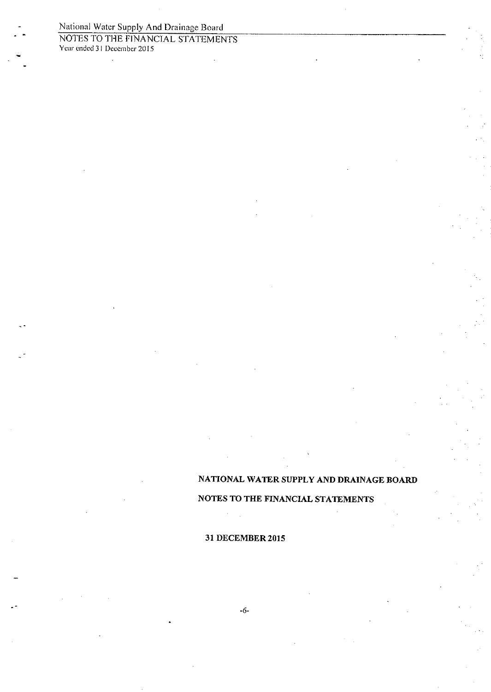$\ddot{\phantom{a}}$ 

NOTES TO THE FINANCIAL STATEMENTS Year ended 31 December 2015

### NATIONAL WATER SUPPLY AND DRAINAGE BOARD

### NOTES TO THE FINANCIAL STATEMENTS

### 31 DECEMBER 2015

t,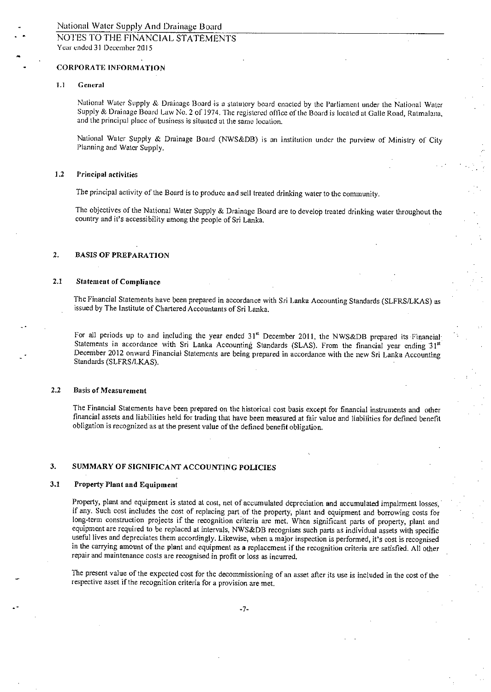#### NOTES TO THE FINANCIAL STATEMENTS Year ended 31 December 2015

#### CORPORATE INFORMATION

#### 1.1 General

National Water Supply & Drainage Board is a statutory board enacted by the Parliament under the National Water Supply & Drainage Board Law No. 2 of 1974. The registered office of the Board is located at Calle Road, Ratmalana, and the principal place of business is situated at the same location.

National Water Supply & Drainage Board (NWS&DB) is an institution under the purview of Ministry of City Planning and Water Supply.

#### 1.2 Principal activities

The principal activity of the Board is to produce and sell treated drinking water to the community.

The objectives of the National Water Supply & Drainage Board are to develop treated drinking water throughout the country and it's accessibility among the people of Sri Lanka.

#### 2. BASIS OF PREPARATION

#### 2.1 Statement of Compliance

The Financial Statements have been prepared in accordance with Sri Lanka Accounting Standards (SLFRS/LKAS) as issued by The Institute of Chartered Accountants of Sri Lanka.

For all periods up to and including the year ended 31<sup>st</sup> December 2011, the NWS&DB prepared its Financial Statements in accordance with Sri Lanka Accounting Standards (SLAS). From the financial year ending 31st December 2012 onward Financial Statements are being prepared in accordance with the new Sri Lanka Accounting Standards (SLFRS/LKAS).

#### 2.2 Basis of Measurement

The Financial Statements have been prepared on the historical cost basis except for financial instruments and other financial assets and liabilities held for trading that have been measured at fair value and liabilities for defined benefit obligation is recognized as at the present value of the defined benefit obligation.

#### 3. SUMMARY OF SIGNIFICANT ACCOUNTING POLICIES

#### 3.1 Property Plant and Equipment

-

Property, plant and equipment is stated at cost, net of accumulated depreciation and accumulated impairment losses, if any. Such cost includes the cost of replacing part of the property, plant and equipment and borrowing costs for long-term construction projects if the recognition criteria are met. When significant parts of property, plant and equipment are required to be replaced at intervals, NWS&DB recognises such parts as individual assets with specific useful lives and depreciates them accordingly. Likewise, when a major inspection is performed, it's cost is recognised in the carrying amount of the plant and equipment as a replacement if the recognition criteria are satisfied. All other repair and maintenance costs are recognised in profit or loss as incurred.

The present value of the expected cost for the decommissioning of an asset after its use is included in the cost of the respective asset if the recognition criteria for a provision are met.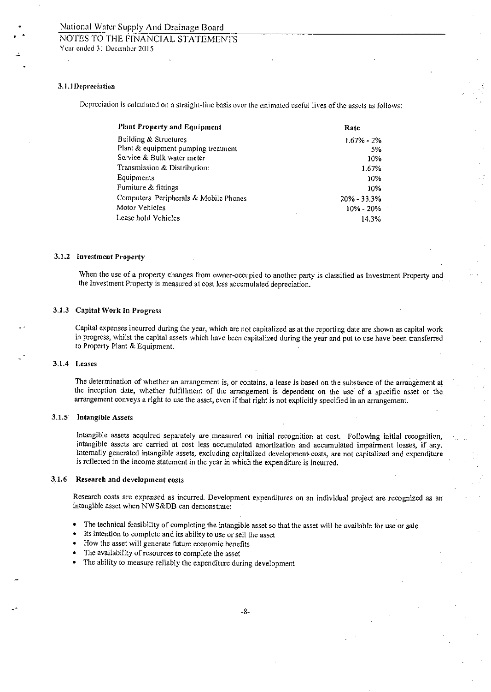### NOTES TO THE FINANCIAL STATEMENTS Year ended 31 December 2015

#### 3.1.1Depreciation

Depreciation is calculated on a straight-line basis over the estimated useful lives of the assets as follows:

| <b>Plant Property and Equipment</b>   | Rate            |
|---------------------------------------|-----------------|
| Building & Structures                 | $1.67\% - 2\%$  |
| Plant & equipment pumping treatment   | 5%              |
| Service & Bulk water meter            | 10%             |
| Transmission & Distribution:          | 1.67%           |
| Equipments                            | 10%             |
| Furniture & fittings                  | 10%             |
| Computers Peripherals & Mobile Phones | $20\% - 33.3\%$ |
| Motor Vehicles                        | $10\% - 20\%$   |
| Lease hold Vehicles                   | 14.3%           |

#### 3.1.2 Investment Property

When the use of a property changes from owner-occupied to another party is classified as Investment Property and the Investment Property is measured at cost less accumulated depreciation.

#### 3.1.3 Capital Work In Progress

Capital expenses incurred during the year, which are not capitalized as at the reporting date are shown as capital work in progress, whilst the capital assets which have been capitalized during the year and put to use have been transferred to Property Plant & Equipment.

#### 3.1.4 Leases

The determination of whether an arrangement is, or contains, a lease is based on the substance of the arrangement at the inception date, whether fulfillment of the arrangement is dependent on the use of a specific asset or the arrangement conveys a right to use the asset, even if that right is not explicitly specified in an arrangement.

#### 3.1.5 Intangible Assets

Intangible assets acquired separately are measured on initial recognition at cost. Following initial recognition, intangible assets are carried at cost less accumulated amortization and accumulated impairment losses, if any. Internally generated intangible assets, excluding capitalized development costs, are not capitalized and expenditure is reflected in the income statement in the year in which the expenditure is incurred.

#### 3.1.6 Research and development costs

Research costs are expensed as incurred. Development expenditures on an individual project are recognized as an intangible asset when NWS&DB can demonstrate:

- The technical feasibility of completing the intangible asset so that the asset will be available for use or sale
- Its intention to complete and its ability to use or sell the asset
- How the asset will generate future economic benefits
- The availability of resources to complete the asset
- The ability to measure reliably the expenditure during development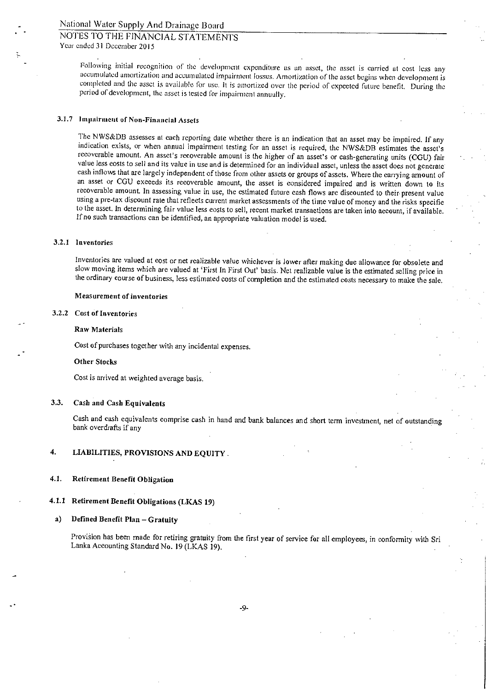#### NOTES TO THE FINANCIAL STATEMENTS Year ended 31 December 2015

Following initial recognition of the development expenditure as an asset, the asset is carried at cost less any accumulated amortization and accumulated impairment losses. Amortization of the asset begins when development is completed and the asset is available for use. It is amortized over the period of expected future benefit. During the period of development, the asset is tested for impairment annually.

#### 3.1.7 Impairment of Non-Financial Assets

The NWS&DB assesses at each reporting date whether there is an indication that an asset may be impaired. If any indication exists, or when annual impairment testing for an asset is required, the NWS&DB estimates the asset's recoverable amount. An asset's recoverable amount is the higher of an asset's or cash-generating units (CGU) fair value less costs to sell and its value in use and is determined for an individual asset, unless the asset does not generate cash inflows that are largely independent of those from other assets or groups of assets. Where the carrying amount of an asset or COU exceeds its recoverable amount, the asset is considered impaired and is written down to its recoverable amount. In assessing value in use, the estimated future cash flows are discounted to their present value using a pre-tax discount rate that reflects current market assessments of the time value of money and the risks specific to the asset. In determining fair value less costs to sell, recent market transactions are taken into account, if available. If no such transactions can be identified, an appropriate valuation model is used.

#### 3.2.1 Inventories

Inventories are valued at cost or net realizable value whichever is lower after making due allowance for obsolete and slow moving items which are valued at 'First In First Out' basis. Net realizable value is the estimated selling price in the ordinary course of business, less estimated costs of completion and the estimated costs necessary to make the sale.

#### Measurement of inventories

#### 3.2.2 Cost of Inventories

#### Raw Materials

Cost of purchases together with any incidental expenses.

#### Other Stocks

Cost is arrived at weighted average basis.

#### 3.3. Cash and Cash Equivalents

Cash and cash equivalents comprise cash in hand and bank balances and short term investment, net of outstanding bank overdrafts if any

#### 4. LIABILITIES, PROVISIONS AND EQUITY.

#### 4.1. Retirement Benefit Obligation

#### 4.1.1 Retirement Benefit Obligations (LKAS 19)

#### a) Defined Benefit Plan — Gratuity

Provision has been made for retiring gratuity from the first year of service for all employees, in conformity with Sri Lanka Accounting Standard No. 19 (LKAS 19).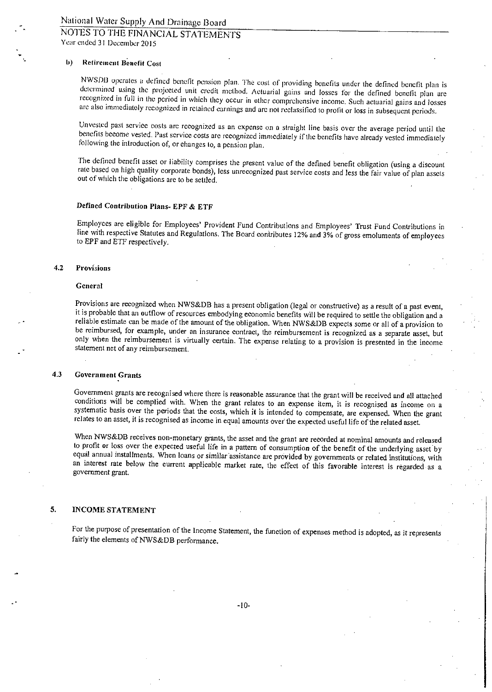Year ended 31 December 2015

#### U) Retirement Benefit Cost

NWSDB operates a defined benefit pension plan. The cost of providing benefits under the defined benefit plan is determined using the projected unit credit method, Actuarial gains and losses for the defined benefit plan are recognized in full in the period in which they occur in other comprehensive income. Such actuarial gains and losses are also immediately recognized in retained earnings and are not reclassified to profit or loss in subsequent periods.

Unvested past service costs are recognized as an expense on a straight line basis over the average period until the benefits become vested. Past service costs are recognized immediately if the benefits have already vested immediately following the introduction of, or changes to, a pension plan.

The defined benefit asset or liability comprises the present value of the defined benefit obligation (using a discount rate based on high quality corporate bonds), less unrecognized past service costs and less the fair value of plan assets out of which the obligations are to be settled.

#### Defined Contribution Plans- EPF & ETF

Employees are eligible for Employees' Provident Fund Contributions and Employees' Trust Fund Contributions in line with respective Statutes and Regulations. The Board contributes 12% and 3% of gross emoluments of employees to EPF and ETF respectively.

#### 4.2 Provisions

#### General

Provisions are recognized when NWS&DB has a present obligation (legal or constructive) as a result of a past event, it is probable that an outflow of resources embodying economic benefits will be required to settle the obligation and a reliable estimate can be made of the amount of the obligation. When NWS&DB expects some or all of a provision to be reimbursed, for example, under an insurance contract, the reimbursement is recognized as a separate asset, but only when the reimbursement is virtually certain. The expense relating to a provision is presented in the income statement net of any reimbursement.

#### 4.3 Government Grants

Government grants are recognised where there is reasonable assurance that the grant will be received and all attached conditions will be complied with. When the grant relates to an expense item, it is recognised as income on a systematic basis over the periods that the costs, which it is intended to compensate, are expensed. When the grant relates to an asset, it is recognised as income in equal amounts over the expected useful life of the related asset.

When NWS&DB receives non-monetary grants, the asset and the grant are recorded at nominal amounts and released to profit or loss over the expected useful life in a pattern of consumption of the benefit of the underlying asset by equal annual installments. When loans or similar 'assistance are provided by governments or related institutions, with an interest rate below the current applicable market rate, the effect of this favorable interest is regarded as a government grant.

#### 5. INCOME STATEMENT

For the purpose of presentation of the Income Statement, the function of expenses method is adopted, as it represents fairly the elements of NWS&DB performance.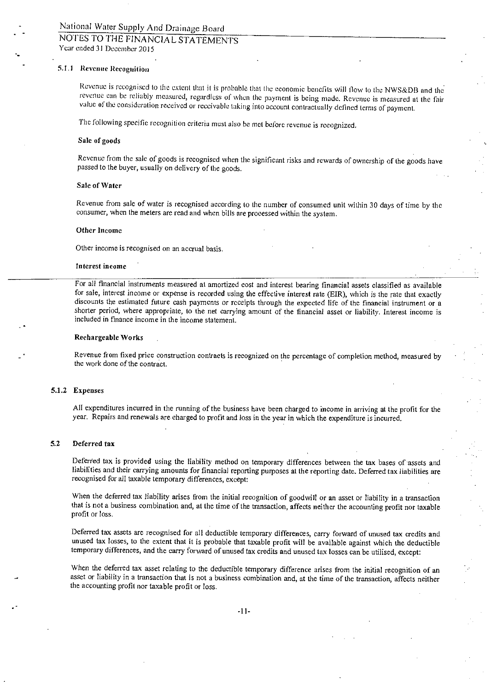### NOTES TO THE FINANCIAL STATEMENTS Year ended 31 December 2015

#### 5.1.1 Revenue Recognition

Revenue is recognised to the extent that it is probable that the economic benefits will flow to the NWS&DB and the revenue can be reliably measured, regardless of when the payment is being made. Revenue is measured at the fair value of the consideration received or receivable taking into account contractually defined terms of payment.

The following specific recognition criteria must also be met before revenue is recognized,

#### Sale of goods

Revenue from the sale of goods is recognised when the significant risks and rewards of ownership of the goods have passed to the buyer, usually on delivery of the goods.

#### Sale of Water

Revenue from sale of water is recognised according to the number of consumed unit within 30 days of time by the consumer, when the meters are read and when bills are processed within the system.

#### Other Income

Other income is recognised on an accrual basis.

#### Interest income

For all financial instruments measured at amortized cost and interest bearing financial assets classified as available for sale, interest income or expense is recorded using the effective interest rate (EIR), which is the rate that exactly discounts the estimated future cash payments or receipts through the expected life of the financial instrument or a shorter period, where appropriate, to the net carrying amount of the financial asset or liability. Interest income is included in finance income in the income statement.

#### **Rechargeable Works**

Revenue from fixed price construction contracts is recognized on **the** percentage of completion method, measured by the work done of the contract.

#### **5.1.2 Expenses**

All expenditures incurred in the running of the business have been charged to income in arriving at the profit for the year. Repairs and renewals are charged to profit and loss in the year in which the expenditure is incurred.

#### **5.2 Deferred tax**

Deferred tax is provided using the liability method on temporary differences between the tax bases of assets **and**  liabilities and their carrying amounts for financial reporting purposes at the reporting date. Deferred tax liabilities are recognised for all taxable temporary differences, except:

When the deferred tax liability arises from the initial recognition of goodwill or an asset or liability in a transaction that is not a business combination and, at **the** time of the transaction, affects neither the accounting profit nor taxable profit or loss.

Deferred tax assets are recognised for all deductible temporary differences, carry forward of unused tax credits **and**  unused tax losses, to the extent that it is probable that taxable profit will be available against which the deductible temporary differences, and the carry forward of unused tax credits and unused tax losses can be utilised, except:

When the deferred tax asset relating to the deductible temporary difference arises from the initial recognition of an asset or liability in a transaction that is not a business combination and, at the time of the transaction, affects neither the accounting profit nor taxable profit or loss.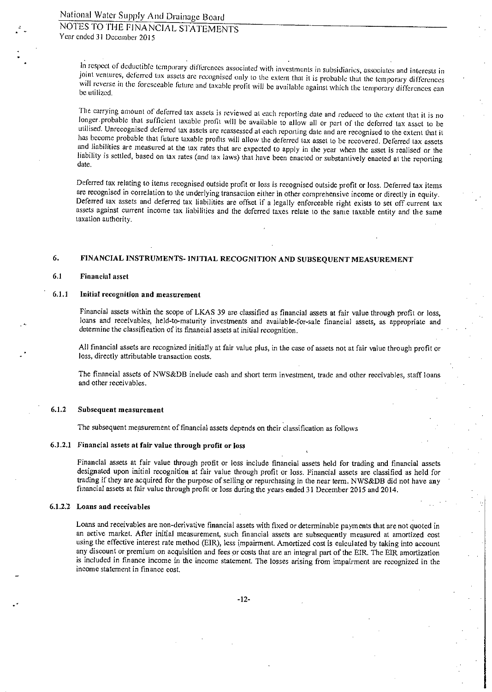In respect of deductible temporary differences associated with investments in subsidiaries, associates and interests in joint ventures, deferred tax assets are recognised only to the extent that it is probable that the temporary differences will reverse in the foreseeable future and taxable profit will be available against which the temporary differences can be utilized.

The carrying amount of deferred tax assets is reviewed at each reporting date and reduced to the extent that it is no longer probable that sufficient taxable profit will be available to allow all or part of the deferred tax asset to be utilised. Unrecognised deferred tax assets are reassessed at each reporting date and are recognised to the extent that it has become probable that future taxable profits will allow the deferred tax asset to be recovered. Deferred tax assets and liabilities are measured at the tax rates that are expected to apply in the year when the asset is realised or the liability is settled, based on tax rates (and tax laws) that have been enacted or substantively enacted at the reporting date.

Deferred tax relating to items recognised outside profit or loss is recognised outside profit or loss. Deferred tax items are recognised in correlation to the underlying transaction either in other comprehensive income or directly in equity. Deferred tax assets and deferred tax liabilities are offset if a legally enforceable right exists to set off current tax assets against current income tax liabilities and the deferred taxes relate to the same taxable entity and the same taxation authority.

#### 6. FINANCIAL INSTRUMENTS- INITIAL RECOGNITION AND SUBSEQUENT MEASUREMENT

#### 6.1 Financial asset

#### 6.1.1 Initial recognition and measurement

Financial assets within the scope of LKAS 39 are classified as financial assets at fair value through profit or loss, loans and receivables, held-to-maturity investments and available-for-sale financial assets, as appropriate and determine the classification of its financial assets at initial recognition.

All financial assets are recognized initially at fair value plus, in the case of assets not at fair value through profit or loss, directly attributable transaction costs.

The financial assets of NWS&DB include cash and short term investment, trade and other receivables, staff loans and other receivables.

#### 6.1.2 Subsequent measurement

The subsequent measurement of financial assets depends on their classification as follows

#### 6.1.2.1 Financial assets at fair value through profit or loss

Financial assets at fair value through profit or loss include financial assets held for trading and financial assets designated upon initial recognition at fair value through profit or loss. Financial assets are classified as held for trading if they are acquired for the purpose of selling or repurchasing in the near term. NWS&DB did not have any financial assets at fair value through profit or loss during the years ended 31 December 2015 and 2014.

#### 6.1.2:2 Loans and receivables

Loans and receivables are non-derivative financial assets with fixed or determinable payments that are not quoted in an active market. After initial measurement, such financial assets are subsequently measured at amortized cost using the effective interest rate method (EIR), less impairment. Amortized cost is calculated by taking into account any discount or premium on acquisition and fees or costs that are an integral part of the EIR. The EIR amortization is included in finance income in the income statement. The losses arising from impairment are recognized in the income statement in finance cost.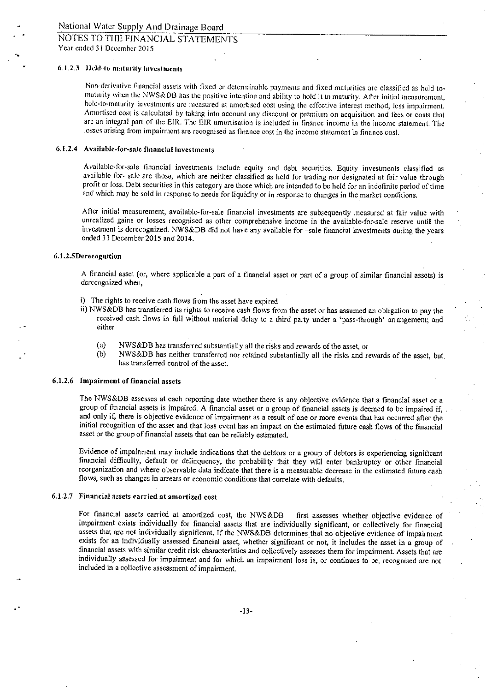#### NOTES TO THE FINANCIAL STATEMENTS Year ended 31 December 2015

### 6.1.2.3 Ile1d-to-maturity investments

Non-derivative financial assets with fixed or determinable payments and fixed maturities are classified as held tomaturity when the NWS&DB has the positive intention and ability to hold it to maturity. After initial measurement, held-to-maturity investments are measured at amortised cost using the effective interest method, less impairment. Amortised cost is calculated by taking into account any discount or premium on acquisition and fees or costs that are an integral part of the E1R. The ElR amortisation is included in finance income in the income statement. The losses arising from impairment are recognised as finance cost in the income statement in finance cost.

#### 6.1.2.4 Available-for-sale financial investments

Available-for-sale financial investments include equity and debt securities. Equity investments classified as available for- sale are those, which are neither classified as held for trading nor designated at fair value through profit or loss. Debt securities in this category are those which are intended to be held for an indefinite period of time and which may be sold in response to needs for liquidity or in response to changes in the market conditions.

After initial measurement, available-for-sale financial investments are subsequently measured at fair value with unrealized gains or losses recognised as other comprehensive income in the available-for-sale reserve until the investment is dereeognized. NWS&DB did not have any available for —sale financial investments during the years ended 31 December 2015 and 2014.

#### 6.1.2.5Derecognition

A financial asset (or, where applicable a part of a financial asset or part of a group of similar financial assets) is derecognized when,

- i) The rights to receive cash flows from the asset have expired
- ii) NWS&DB has transferred its rights to receive cash flows from the asset or has assumed an obligation to pay the received cash flows in full without material delay to a third party under a 'pass-through' arrangement; and either
	- (a) NWS&DB has transferred substantially all the risks and rewards of the asset, or (b) NWS&DB has neither transferred nor retained substantially all the risks and re
	- NWS&DB has neither transferred nor retained substantially all the risks and rewards of the asset, but has transferred control of the asset.

#### 6.1.2.6 Impairment of financial assets

The NWS&DB assesses at each reporting date whether there is any objective evidence that a financial asset or a group of financial assets is impaired. A financial asset or a group of financial assets is deemed to be impaired if, and only if, there is objective evidence of impairment as a result of one or more events that has occurred after the initial recognition of the asset and that loss event has an impact on the estimated future cash flows of the financial asset or the group of financial assets that can be reliably estimated.

Evidence of impairment may include indications that the debtors or a group of debtors is experiencing significant financial difficulty, default or delinquency, the probability that they will enter bankruptcy or other financial reorganization and where observable data indicate that there is a measurable decrease in the estimated future cash flows, such as changes in arrears or economic conditions that correlate with defaults.

#### 6.1.2.7 Financial assets carried at amortized cost

For financial assets carried at amortized cost, the NWS&DB first assesses whether objective evidence of impairment exists individually for financial assets that are individually significant, or collectively for financial assets that are not individually significant. If the NWS&DB determines that no objective evidence of impairment exists for an individually assessed financial asset, whether significant or not, it includes the asset in a group of financial assets with similar credit risk characteristics and collectively assesses them for impairment. Assets that are individually assessed for impairment and for which an impairment loss is, or continues to be, recognised are not included in a collective assessment of impairment.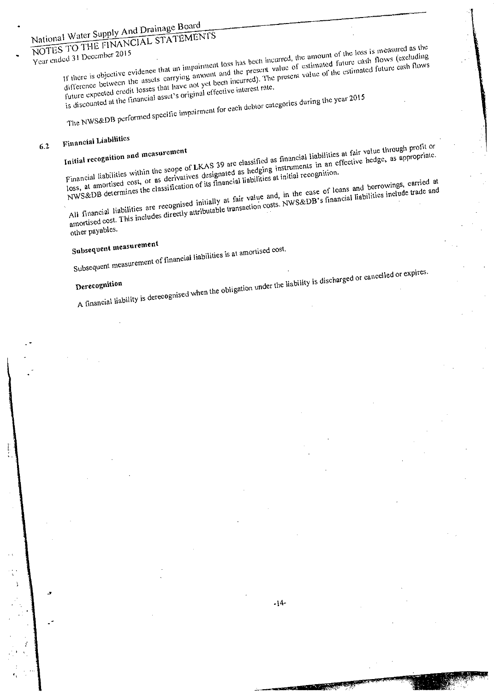#### $\frac{1}{2}$  Water Supply And Dramage  $\frac{1}{2}$ National STATEMENT FINANCIAL STATEMENT

If the impairment loss has been incurred, the antimated future cash hows the dought  $\alpha$  between the assets carrying and the present value of the estimated future cash flows (excluding  $\alpha$ ) future is  $\frac{1}{2}$  have not assets carrying  $\frac{1}{2}$  and here incurred). The present value of the estimated function  $\frac{1}{2}$  and  $\frac{1}{2}$  and  $\frac{1}{2}$  and  $\frac{1}{2}$  and  $\frac{1}{2}$  and  $\frac{1}{2}$  and  $\frac{1}{2}$  and  $\frac{$ invertise between the assets onlying amount and the present value of estimated future easil flows (excluding<br>future expected eredit losses that have not yet been incurred). The present value of the estimated future eash fl The NWS&DB performed specific impairment for each debtor categories during the year 2015 Year ended 31 December 2015<br>If there is objective evidence that an impairment loss has been incurred, the amount of the loss is measured as the<br>If there is objective evidence that an impairment loss has been incurred, the

## 6.2

Financial Liabilities<br>Initial recognition and measurement<br>Financial liabilities within the scope of LKAS 39 are classified as financial liabilities at fair value through profit or<br>Financial liabilities within the scope of  $\Delta W$  is a recognised in the recognised initially at fair value and,  $\Delta W$  is  $\Delta R$  in the case of loans and both  $\Delta R$  is financial habitudes in the case of loans and both  $\Delta R$  is an order of loans and borrowing and  $\Delta$ and the initial costs. This is included costs. In the costs in  $\mathcal{L}$  is final linear transaction costs. In the set Initial recognition and measurement Financial liabilities at language, as appropriate.  $\mu$ , at a mortised cost, or as determining as hedging instruments in an effective headquarter.  $\frac{1}{2}$  determines the cost, of a substitution of its financial numbers.

other payables.

#### Subsequent measurement

 $\mathcal{L}_{\text{out}}$  of financial liabilities is at amortised cost.

Derecognition and the obligation under the liability is discharged or cancelled or cancelled or expires.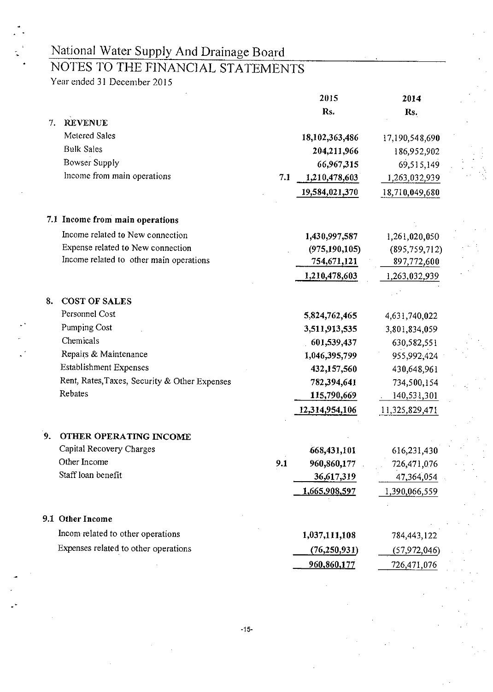## **NOTES TO THE FINANCIAL STATEMENTS**

Year ended 31 December 2015

|    |                                               |     | 2015               | 2014            |
|----|-----------------------------------------------|-----|--------------------|-----------------|
|    |                                               |     | Rs.                | Rs.             |
| 7. | <b>REVENUE</b>                                |     |                    |                 |
|    | Metered Sales                                 |     | 18,102,363,486     | 17,190,548,690  |
|    | <b>Bulk Sales</b>                             |     | 204,211,966        | 186,952,902     |
|    | <b>Bowser Supply</b>                          |     | 66,967,315         | 69,515,149      |
|    | Income from main operations                   | 7.1 | 1,210,478,603      | 1,263,032,939   |
|    |                                               |     | 19,584,021,370     | 18,710,049,680  |
|    | 7.1 Income from main operations               |     |                    |                 |
|    | Income related to New connection              |     | 1,430,997,587      | 1,261,020,050   |
|    | Expense related to New connection             |     | (975, 190, 105)    | (895, 759, 712) |
|    | Income related to other main operations       |     | <u>754,671,121</u> | 897,772,600     |
|    |                                               |     | 1,210,478,603      | 1,263,032,939   |
| 8. | <b>COST OF SALES</b>                          |     |                    |                 |
|    | Personnel Cost                                |     |                    |                 |
|    | Pumping Cost                                  |     | 5,824,762,465      | 4,631,740,022   |
|    | Chemicals                                     |     | 3,511,913,535      | 3,801,834,059   |
|    | Repairs & Maintenance                         |     | 601,539,437        | 630,582,551     |
|    | <b>Establishment Expenses</b>                 |     | 1,046,395,799      | 955,992,424     |
|    | Rent, Rates, Taxes, Security & Other Expenses |     | 432,157,560        | 430,648,961     |
|    | Rebates                                       |     | 782,394,641        | 734,500,154     |
|    |                                               |     | 115,790,669        | 140,531,301     |
|    |                                               |     | 12,314,954,106     | 11,325,829,471  |
| 9. | OTHER OPERATING INCOME                        |     |                    |                 |
|    | Capital Recovery Charges                      |     | 668,431,101        | 616,231,430     |
|    | Other Income                                  | 9.1 | 960,860,177        | 726,471,076     |
|    | Staff loan benefit                            |     | 36,617,319         | 47,364,054      |
|    |                                               |     | 1,665,908,597      | 1,390,066,559   |
|    | 9.1 Other Income                              |     |                    |                 |
|    | Incom related to other operations             |     | 1,037,111,108      | 784,443,122     |
|    | Expenses related to other operations          |     | (76, 250, 931)     | (57, 972, 046)  |
|    |                                               |     | 960,860,177        | 726,471,076     |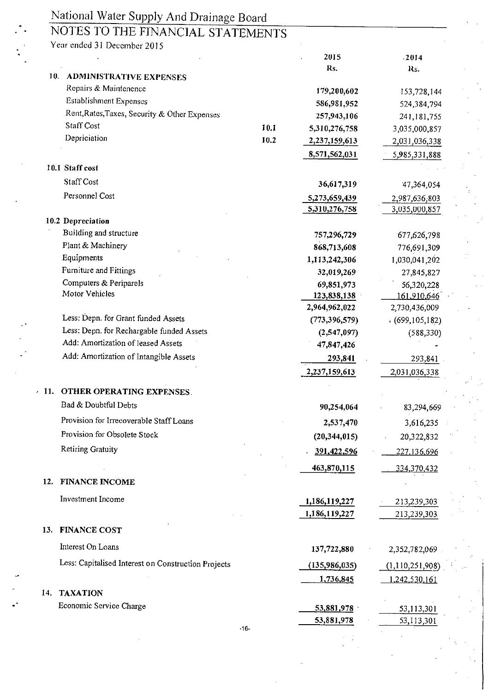| National Water Supply And Drainage Board            |      |                 |                    |
|-----------------------------------------------------|------|-----------------|--------------------|
| NOTES TO THE FINANCIAL STATEMENTS                   |      |                 |                    |
| Year ended 31 December 2015                         |      |                 |                    |
|                                                     |      | 2015<br>Rs.     | 2014<br>Rs.        |
| 10.<br><b>ADMINISTRATIVE EXPENSES</b>               |      |                 |                    |
| Repairs & Maintenence                               |      | 179,200,602     | 153,728,144        |
| <b>Establishment Expenses</b>                       |      | 586,981,952     | 524,384,794        |
| Rent, Rates, Taxes, Security & Other Expenses       |      | 257,943,106     | 241, 181, 755      |
| Staff Cost                                          | 10.1 | 5,310,276,758   | 3,035,000,857      |
| Depriciation                                        | 10.2 | 2,237,159,613   | 2,031,036,338      |
|                                                     |      | 8,571,562,031   | 5,985,331,888      |
| 10.1 Staff cost                                     |      |                 |                    |
| <b>Staff Cost</b>                                   |      | 36,617,319      | 47,364,054         |
| Personnel Cost                                      |      | 5,273,659,439   | 2,987,636,803      |
|                                                     |      | 5,310,276,758   | 3,035,000,857      |
| 10.2 Depreciation                                   |      |                 |                    |
| Building and structure                              |      | 757,296,729     | 677,626,798        |
| Plant & Machinery                                   |      | 868,713,608     | 776,691,309        |
| Equipments                                          |      | 1,113,242,306   | 1,030,041,202      |
| Furniture and Fittings                              |      | 32,019,269      | 27,845,827         |
| Computers & Periparels                              |      | 69,851,973      | 56,320,228         |
| Motor Vehicles                                      |      | 123,838,138     | 161,910,646        |
|                                                     |      | 2,964,962,022   | 2,730,436,009      |
| Less: Depn. for Grant funded Assets                 |      | (773, 396, 579) | (699, 105, 182)    |
| Less: Depn. for Rechargable funded Assets           |      | (2,547,097)     | (588, 330)         |
| Add: Amortization of leased Assets                  |      | 47,847,426      |                    |
| Add: Amortization of Intangible Assets              |      | 293,841         | 293,841            |
|                                                     |      | 2,237,159,613   | 2,031,036,338      |
| OTHER OPERATING EXPENSES<br>$\cdot$ 11.             |      |                 |                    |
| Bad & Doubtful Debts                                |      | 90,254,064      | 83,294,669         |
| Provision for Irrecoverable Staff Loans             |      | 2,537,470       | 3,616,235          |
| Provision for Obsolete Stock                        |      | (20, 344, 015)  | 20,322,832         |
| Retiring Gratuity                                   |      |                 |                    |
|                                                     |      | 391,422,596     | <u>227,136,696</u> |
|                                                     |      | 463,870,115     | 334,370,432        |
| <b>FINANCE INCOME</b><br>12.                        |      |                 |                    |
| Investment Income                                   |      | 1,186,119,227   | 213,239,303        |
|                                                     |      | 1,186,119,227   | 213,239,303        |
| 13. FINANCE COST                                    |      |                 |                    |
| Interest On Loans                                   |      | 137,722,880     | 2,352,782,069      |
| Less: Capitalised Interest on Construction Projects |      | (135,986,035)   | (1, 110, 251, 908) |
|                                                     |      | 1,736,845       | 1,242,530,161      |
| <b>TAXATION</b><br>14.                              |      |                 |                    |
| Economic Service Charge                             |      | 53,881,978      | 53,113,301         |
|                                                     |      | 53,881,978      | 53,113,301         |

 $\frac{1}{2}$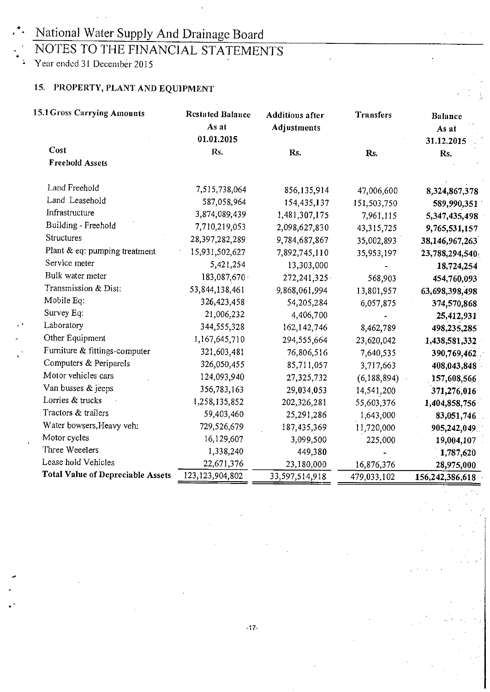## NOTES TO THE FINANCIAL STATEMENTS

• Year ended 31 December 2015

## **15. PROPERTY, PLANT AND EQUIPMENT**

| <b>15.1 Gross Carrying Amounts</b>       | <b>Restated Balance</b><br>As at<br>01.01.2015 | <b>Additions after</b><br><b>Adjustments</b> | Transfers   | <b>Balance</b><br>As at<br>31.12.2015 |
|------------------------------------------|------------------------------------------------|----------------------------------------------|-------------|---------------------------------------|
| Cost                                     | Rs.                                            | Rs.                                          | Rs.         | Rs.                                   |
| <b>Freehold Assets</b>                   |                                                |                                              |             |                                       |
| Land Freehold                            | 7,515,738,064                                  | 856,135,914                                  | 47,006,600  | 8,324,867,378                         |
| Land Leasehold                           | 587,058,964                                    | 154,435,137                                  | 151,503,750 | 589,990,351                           |
| Infrastructure                           | 3,874,089,439                                  | 1,481,307,175                                | 7,961,115   | 5,347,435,498                         |
| Building - Freehold                      | 7,710,219,053                                  | 2,098,627,830                                | 43,315,725  | 9,765,531,157                         |
| Structures                               | 28,397,282,289                                 | 9,784,687,867                                | 35,002,893  | 38,146,967,263                        |
| Plant & eq: pumping treatment            | 15,931,502,627                                 | 7,892,745,110                                | 35,953,197  | 23,788,294,540                        |
| Service meter                            | 5,421,254                                      | 13,303,000                                   |             | 18,724,254                            |
| Bulk water meter                         | 183,087,670                                    | 272, 241, 325                                | 568,903     | 454,760,093                           |
| Transmission & Dist:                     | 53,844,138,461                                 | 9,868,061,994                                | 13,801,957  | 63,698,398,498                        |
| Mobile Eq:                               | 326,423,458                                    | 54,205,284                                   | 6,057,875   | 374,570,868                           |
| Survey Eq:                               | 21,006,232                                     | 4,406,700                                    |             | 25,412,931                            |
| Laboratory                               | 344,555,328                                    | 162, 142, 746                                | 8,462,789   | 498,235,285                           |
| Other Equipment                          | 1,167,645,710                                  | 294,555,664                                  | 23,620,042  | 1,438,581,332                         |
| Furniture & fittings-computer            | 321,603,481                                    | 76,806,516                                   | 7,640,535   | 390,769,462                           |
| Computers & Periparels                   | 326,050,455                                    | 85,711,057                                   | 3,717,663   | 408,043,848                           |
| Motor vehicles cars                      | 124,093,940                                    | 27,325,732                                   | (6,188,894) | 157,608,566                           |
| Van busses & jeeps                       | 356,783,163                                    | 29,034,053                                   | 14,541,200  | 371,276,016                           |
| Lorries & trucks                         | 1,258,135,852                                  | 202,326,281                                  | 55,603,376  | 1,404,858,756                         |
| Tractors & trailers                      | 59,403,460                                     | 25,291,286                                   | 1,643,000   | 83,051,746                            |
| Water bowsers, Heavy veh:                | 729,526,679                                    | 187,435,369                                  | 11,720,000  | 905,242,049                           |
| Motor cycles                             | 16,129,607                                     | 3,099,500                                    | 225,000     | 19,004,107                            |
| Three Weeelers                           | 1,338,240                                      | 449,380                                      |             | 1,787,620                             |
| Lease hold Vehicles                      | 22,671,376                                     | 23,180,000                                   | 16,876,376  | 28,975,000                            |
| <b>Total Value of Depreciable Assets</b> | 123, 123, 904, 802                             | 33,597,514,918                               | 479,033,102 | 156,242,386,618                       |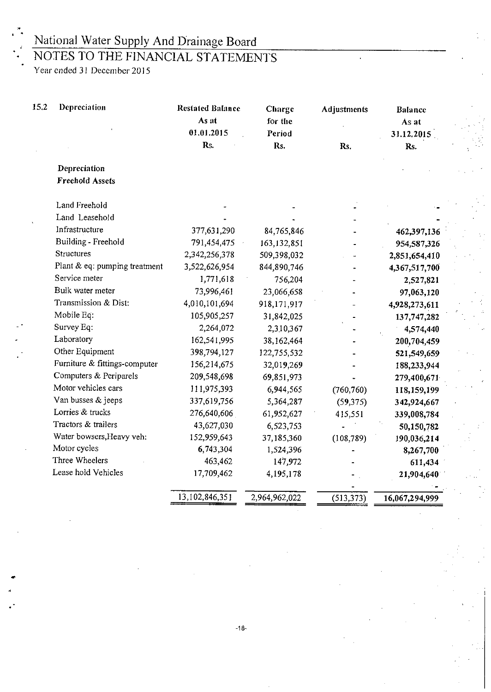### NOTES TO THE FINANCIAL STATEMENTS

Year ended 31 December 2015

v..

4.

| 15.2 | Depreciation                  | <b>Restated Balance</b><br>As at<br>01.01.2015<br>Rs. | <b>Charge</b><br>for the<br>Period<br>Rs. | <b>Adjustments</b><br>Rs. | <b>Balance</b><br>As at<br>31.12.2015<br>Rs. |  |
|------|-------------------------------|-------------------------------------------------------|-------------------------------------------|---------------------------|----------------------------------------------|--|
|      | Depreciation                  |                                                       |                                           |                           |                                              |  |
|      | <b>Freehold Assets</b>        |                                                       |                                           |                           |                                              |  |
|      | Land Freehold                 |                                                       |                                           |                           |                                              |  |
|      | Land Leasehold                |                                                       |                                           |                           |                                              |  |
|      | Infrastructure                | 377,631,290                                           | 84,765,846                                |                           | 462,397,136                                  |  |
|      | Building - Freehold           | 791,454,475                                           | 163,132,851                               |                           | 954,587,326                                  |  |
|      | <b>Structures</b>             | 2,342,256,378                                         | 509,398,032                               |                           | 2,851,654,410                                |  |
|      | Plant & eq: pumping treatment | 3,522,626,954                                         | 844,890,746                               |                           | 4,367,517,700                                |  |
|      | Service meter                 | 1,771,618                                             | 756,204                                   |                           | 2,527,821                                    |  |
|      | Bulk water meter              | 73,996,461                                            | 23,066,658                                |                           | 97,063,120                                   |  |
|      | Transmission & Dist:          | 4,010,101,694                                         | 918,171,917                               |                           | 4,928,273,611                                |  |
|      | Mobile Eq:                    | 105,905,257                                           | 31,842,025                                |                           | 137,747,282                                  |  |
|      | Survey Eq:                    | 2,264,072                                             | 2,310,367                                 |                           | 4,574,440                                    |  |
|      | Laboratory                    | 162,541,995                                           | 38,162,464                                |                           | 200,704,459                                  |  |
|      | Other Equipment               | 398,794,127                                           | 122,755,532                               |                           | 521,549,659                                  |  |
|      | Furniture & fittings-computer | 156,214,675                                           | 32,019,269                                |                           | 188,233,944                                  |  |
|      | Computers & Periparels        | 209,548,698                                           | 69,851,973                                |                           | 279,400,671                                  |  |
|      | Motor vehicles cars           | 111,975,393                                           | 6,944,565                                 | (760, 760)                | 118,159,199                                  |  |
|      | Van busses & jeeps            | 337,619,756                                           | 5,364,287                                 | (59, 375)                 | 342,924,667                                  |  |
|      | Lorries & trucks              | 276,640,606                                           | 61,952,627                                | 415,551                   | 339,008,784                                  |  |
|      | Tractors & trailers           | 43,627,030                                            | 6,523,753                                 |                           | 50,150,782                                   |  |
|      | Water bowsers, Heavy veh:     | 152,959,643                                           | 37,185,360                                | (108, 789)                | 190,036,214                                  |  |
|      | Motor cycles                  | 6,743,304                                             | 1,524,396                                 |                           | 8,267,700                                    |  |
|      | Three Wheelers                | 463,462                                               | 147,972                                   |                           | 611,434                                      |  |
|      | Lease hold Vehicles           | 17,709,462                                            | 4,195,178                                 |                           | 21,904,640                                   |  |
|      |                               |                                                       |                                           |                           |                                              |  |
|      |                               | 13,102,846,351                                        | 2,964,962,022                             | (513, 373)                | 16,067,294,999                               |  |

 $\ddot{\phantom{0}}$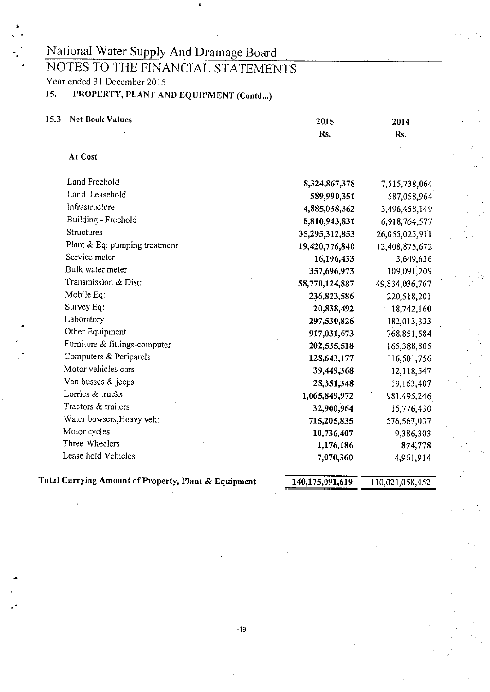### NOTES TO THE FINANCIAL STATEMENTS

Year ended 31 December 2015

**410** 

**IS. PROPERTY, PLANT AND EQUIPMENT (Contd.-)** 

| <b>Net Book Values</b><br>15.3                       | 2015            | 2014            |
|------------------------------------------------------|-----------------|-----------------|
|                                                      | Rs.             | Rs.             |
| At Cost                                              |                 |                 |
| Land Freehold                                        | 8,324,867,378   | 7,515,738,064   |
| Land Leasehold                                       | 589,990,351     | 587,058,964     |
| Infrastructure                                       | 4,885,038,362   | 3,496,458,149   |
| Building - Freehold                                  | 8,810,943,831   | 6,918,764,577   |
| <b>Structures</b>                                    | 35,295,312,853  | 26,055,025,911  |
| Plant & Eq: pumping treatment                        | 19,420,776,840  | 12,408,875,672  |
| Service meter                                        | 16,196,433      | 3,649,636       |
| Bulk water meter                                     | 357,696,973     | 109,091,209     |
| Transmission & Dist:                                 | 58,770,124,887  | 49,834,036,767  |
| Mobile Eq:                                           | 236,823,586     | 220,518,201     |
| Survey Eq:                                           | 20,838,492      | 18,742,160      |
| Laboratory                                           | 297,530,826     | 182,013,333     |
| Other Equipment                                      | 917,031,673     | 768,851,584     |
| Furniture & fittings-computer                        | 202,535,518     | 165,388,805     |
| Computers & Periparels                               | 128,643,177     | 116,501,756     |
| Motor vehicles cars                                  | 39,449,368      | 12,118,547      |
| Van busses & jeeps                                   | 28,351,348      | 19,163,407      |
| Lorries & trucks                                     | 1,065,849,972   | 981,495,246     |
| Tractors & trailers                                  | 32,900,964      | 15,776,430      |
| Water bowsers, Heavy veh:                            | 715,205,835     | 576,567,037     |
| Motor cycles                                         | 10,736,407      | 9,386,303       |
| Three Wheelers                                       | 1,176,186       | 874,778         |
| Lease hold Vehicles                                  | 7,070,360       | 4,961,914       |
| Total Carrying Amount of Property, Plant & Equipment | 140,175,091,619 | 110,021,058,452 |

-19-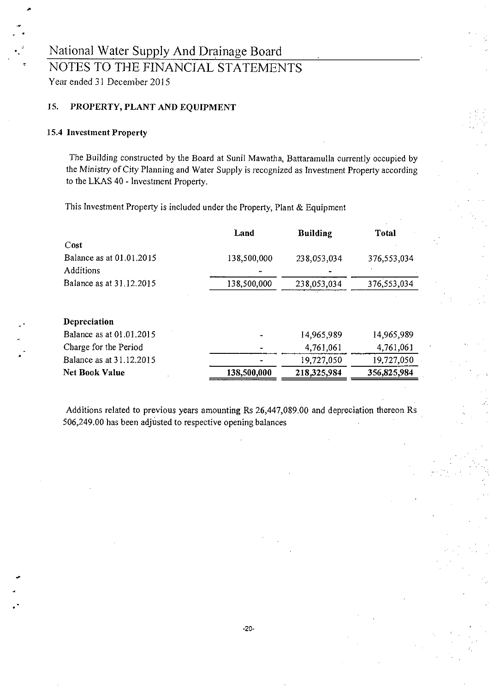### NOTES TO THE FINANCIAL STATEMENTS Year ended 31 December 2015

### 15. PROPERTY, PLANT AND EQUIPMENT

#### 15.4 Investment Property

The Building constructed by the Board at Sunil Mawatha, Battaramulla currently occupied by the Ministry of City Planning and Water Supply is recognized as Investment Property according to the LKAS 40 - Investment Property.

This Investment Property is included under the Property, Plant & Equipment

|                          | Land        | <b>Building</b> | Total       |
|--------------------------|-------------|-----------------|-------------|
| Cost                     |             |                 |             |
| Balance as at 01.01.2015 | 138,500,000 | 238,053,034     | 376,553,034 |
| <b>Additions</b>         |             |                 |             |
| Balance as at 31.12.2015 | 138,500,000 | 238,053,034     | 376,553,034 |
| Depreciation             |             |                 |             |
| Balance as at 01.01.2015 |             | 14,965,989      | 14,965,989  |
| Charge for the Period    |             | 4,761,061       | 4,761,061   |
| Balance as at 31.12.2015 |             | 19,727,050      | 19,727,050  |
| <b>Net Book Value</b>    | 138,500,000 | 218,325,984     | 356,825,984 |

Additions related to previous years amounting Rs 26,447,089.00 and depreciation thereon Rs 506,249.00 has been adjusted to respective opening balances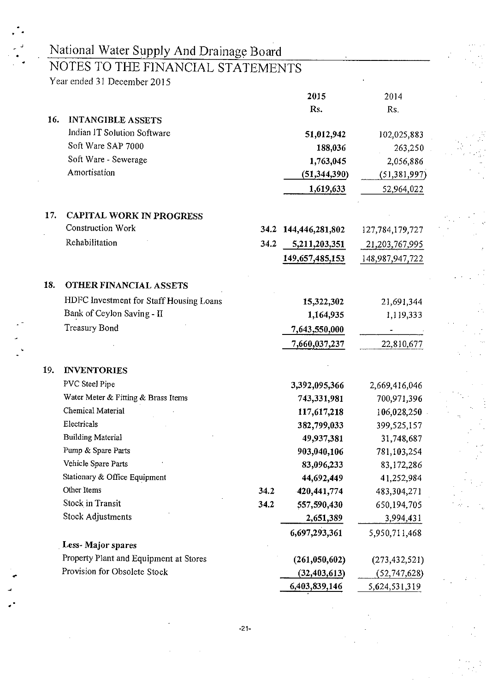|     | National Water Supply And Drainage Board<br>NOTES TO THE FINANCIAL STATEMENTS<br>Year ended 31 December 2015 |      |                      |                 |
|-----|--------------------------------------------------------------------------------------------------------------|------|----------------------|-----------------|
|     |                                                                                                              |      | 2015                 | 2014            |
|     |                                                                                                              |      | Rs.                  | Rs.             |
| 16. | <b>INTANGIBLE ASSETS</b>                                                                                     |      |                      |                 |
|     | Indian IT Solution Software                                                                                  |      | 51,012,942           | 102,025,883     |
|     | Soft Ware SAP 7000                                                                                           |      | 188,036              | 263,250         |
|     | Soft Ware - Sewerage                                                                                         |      | 1,763,045            | 2,056,886       |
|     | Amortisation                                                                                                 |      | (51, 344, 390)       | (51, 381, 997)  |
|     |                                                                                                              |      | 1,619,633            | 52,964,022      |
| 17. | <b>CAPITAL WORK IN PROGRESS</b>                                                                              |      |                      |                 |
|     | <b>Construction Work</b>                                                                                     |      |                      |                 |
|     | Rehabilitation                                                                                               |      | 34.2 144,446,281,802 | 127,784,179,727 |
|     |                                                                                                              | 34.2 | 5,211,203,351        | 21,203,767,995  |
|     |                                                                                                              |      | 149,657,485,153      | 148,987,947,722 |
| 18. | OTHER FINANCIAL ASSETS                                                                                       |      |                      |                 |
|     | HDFC Investment for Staff Housing Loans                                                                      |      | 15,322,302           | 21,691,344      |
|     | Bank of Ceylon Saving - II                                                                                   |      | 1,164,935            | 1,119,333       |
|     | Treasury Bond                                                                                                |      | 7,643,550,000        |                 |
|     |                                                                                                              |      | 7,660,037,237        | 22,810,677      |
|     |                                                                                                              |      |                      |                 |
| 19. | <b>INVENTORIES</b>                                                                                           |      |                      |                 |
|     | PVC Steel Pipe                                                                                               |      | 3,392,095,366        | 2,669,416,046   |
|     | Water Meter & Fitting & Brass Items                                                                          |      | 743,331,981          | 700,971,396     |
|     | Chemical Material                                                                                            |      | 117,617,218          | 106,028,250     |
|     | Electricals                                                                                                  |      | 382,799,033          | 399,525,157     |
|     | <b>Building Material</b>                                                                                     |      | 49,937,381           | 31,748,687      |
|     | Pump & Spare Parts<br>Vehicle Spare Parts                                                                    |      | 903,040,106          | 781,103,254     |
|     |                                                                                                              |      | 83,096,233           | 83,172,286      |
|     | Stationary & Office Equipment<br>Other Items                                                                 |      | 44,692,449           | 41,252,984      |
|     | Stock in Transit                                                                                             | 34.2 | 420,441,774          | 483,304,271     |
|     | Stock Adjustments                                                                                            | 34.2 | 557,590,430          | 650,194,705     |
|     |                                                                                                              |      | 2,651,389            | 3,994,431       |
|     | Less-Major spares                                                                                            |      | 6,697,293,361        | 5,950,711,468   |
|     | Property Plant and Equipment at Stores                                                                       |      | (261,050,602)        | (273, 432, 521) |
|     | Provision for Obsolete Stock                                                                                 |      | (32, 403, 613)       | (52, 747, 628)  |
|     |                                                                                                              |      | 6,403,839,146        | 5,624,531,319   |

-21-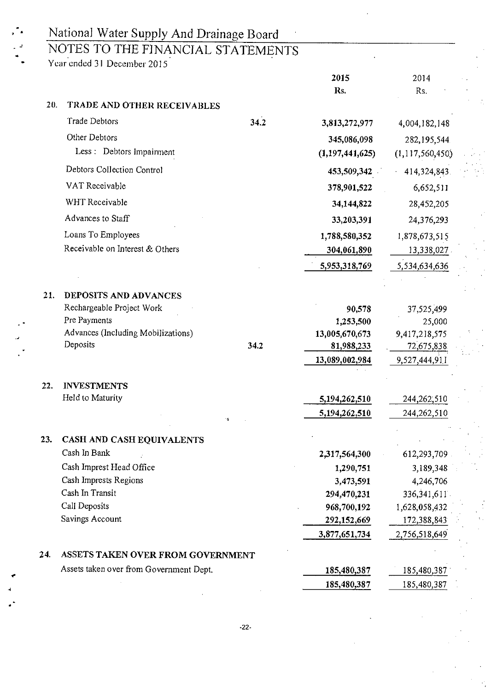|     | NOTES TO THE FINANCIAL STATEMENTS<br>Year ended 31 December 2015 |      |                    |                    |
|-----|------------------------------------------------------------------|------|--------------------|--------------------|
|     |                                                                  |      | 2015               | 2014               |
|     |                                                                  |      | Rs.                | Rs.                |
| 20. | TRADE AND OTHER RECEIVABLES                                      |      |                    |                    |
|     | <b>Trade Debtors</b>                                             | 34.2 | 3,813,272,977      | 4,004,182,148      |
|     | Other Debtors                                                    |      | 345,086,098        | 282,195,544        |
|     | Less: Debtors Impairment                                         |      | (1, 197, 441, 625) | (1, 117, 560, 450) |
|     | Debtors Collection Control                                       |      | 453,509,342        | 414,324,843.       |
|     | VAT Receivable                                                   |      | 378,901,522        | 6,652,511          |
|     | WHT Receivable                                                   |      | 34,144,822         | 28,452,205         |
|     | Advances to Staff                                                |      | 33,203,391         | 24,376,293         |
|     | Loans To Employees                                               |      | 1,788,580,352      | 1,878,673,515      |
|     | Receivable on Interest & Others                                  |      | 304,061,890        | 13,338,027         |
|     |                                                                  |      | 5,953,318,769      | 5,534,634,636      |
|     |                                                                  |      |                    |                    |
| 21. | DEPOSITS AND ADVANCES                                            |      |                    |                    |
|     | Rechargeable Project Work                                        |      | 90,578             | 37,525,499         |
|     | Pre Payments                                                     |      | 1,253,500          | 25,000             |
|     | Advances (Including Mobilizations)                               |      | 13,005,670,673     | 9,417,218,575      |
|     | Deposits                                                         | 34.2 | 81,988,233         | 72,675,838         |
|     |                                                                  |      | 13,089,002,984     | 9,527,444,911      |
| 22. | <b>INVESTMENTS</b>                                               |      |                    |                    |
|     | Held to Maturity                                                 |      | 5,194,262,510      | 244, 262, 510      |
|     | ۰,                                                               |      | 5,194,262,510      | 244,262,510        |
|     |                                                                  |      |                    |                    |
| 23. | CASH AND CASH EQUIVALENTS<br>Cash In Bank                        |      | 2,317,564,300      | 612,293,709        |
|     | Cash Imprest Head Office                                         |      | 1,290,751          | 3,189,348          |
|     | Cash Imprests Regions                                            |      | 3,473,591          | 4,246,706          |
|     | Cash In Transit                                                  |      | 294,470,231        | 336, 341, 611      |
|     | Call Deposits                                                    |      | 968,700,192        | 1,628,058,432      |
|     | Savings Account                                                  |      | 292,152,669        | 172,388,843        |
|     |                                                                  |      | 3,877,651,734      | 2,756,518,649      |
| 24. | ASSETS TAKEN OVER FROM GOVERNMENT                                |      |                    |                    |
|     | Assets taken over from Government Dept.                          |      | 185,480,387        | 185,480,387        |
|     |                                                                  |      | 185,480,387        | 185,480,387        |

-22-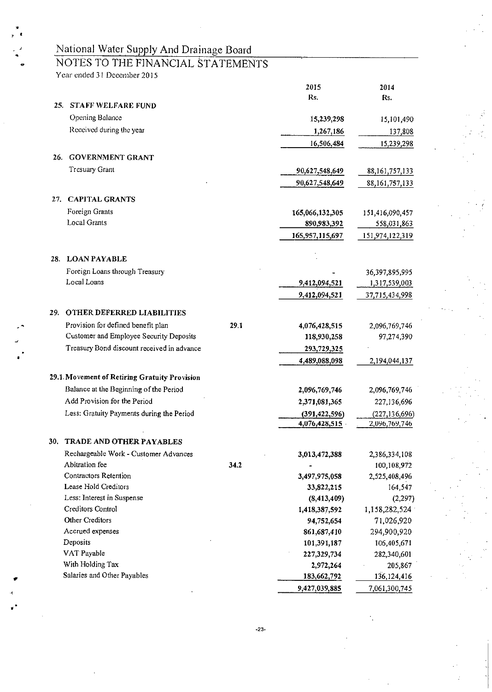### NOTES TO THE FINANCIAL STATEMENTS

Year ended 31 December 2015

*7 4* 

|     |                                              |      | 2015                             | 2014                             |
|-----|----------------------------------------------|------|----------------------------------|----------------------------------|
|     |                                              |      | Rs.                              | Rs.                              |
| 25. | <b>STAFF WELFARE FUND</b>                    |      |                                  |                                  |
|     | Opening Balance                              |      | 15,239,298                       | 15,101,490                       |
|     | Received during the year                     |      | 1,267,186                        | 137,808                          |
|     |                                              |      | 16,506,484                       | 15,239,298                       |
|     | 26. GOVERNMENT GRANT                         |      |                                  |                                  |
|     | <b>Tresuary Grant</b>                        |      | 90,627,548,649                   | 88, 161, 757, 133                |
|     |                                              |      | 90,627,548,649                   | 88, 161, 757, 133                |
|     |                                              |      |                                  |                                  |
|     | 27. CAPITAL GRANTS                           |      |                                  |                                  |
|     | Foreign Grants                               |      | 165,066,132,305                  | 151,416,090,457                  |
|     | <b>Local Grants</b>                          |      | 890,983,392                      | 558,031,863                      |
|     |                                              |      | 165,957,115,697                  | 151,974,122,319                  |
|     |                                              |      |                                  |                                  |
|     | 28. LOAN PAYABLE                             |      |                                  |                                  |
|     | Foreign Loans through Treasury               |      |                                  | 36,397,895,995                   |
|     | Local Loans                                  |      | 9,412,094,521                    | 1,317,539,003                    |
|     |                                              |      | 9,412,094,521                    | 37,715,434,998                   |
| 29. | <b>OTHER DEFERRED LIABILITIES</b>            |      |                                  |                                  |
|     | Provision for defined benefit plan           | 29.1 | 4,076,428,515                    | 2,096,769,746                    |
|     | Customer and Employee Security Deposits      |      | 118,930,258                      | 97,274,390                       |
|     | Treasury Bond discount received in advance   |      | 293,729,325                      |                                  |
|     |                                              |      | 4,489,088,098                    | 2,194,044,137                    |
|     | 29.1 Movement of Retiring Gratuity Provision |      |                                  |                                  |
|     | Balance at the Beginning of the Period       |      | 2,096,769,746                    |                                  |
|     | Add Provision for the Period                 |      | 2,371,081,365                    | 2,096,769,746                    |
|     | Less: Gratuity Payments during the Period    |      |                                  | 227,136,696                      |
|     |                                              |      | (391, 422, 596)<br>4,076,428,515 | (227, 136, 696)<br>2,096,769,746 |
|     |                                              |      |                                  |                                  |
| 30. | TRADE AND OTHER PAYABLES                     |      |                                  |                                  |
|     | Rechargeable Work - Customer Advances        |      | 3,013,472,388                    | 2,386,334,108                    |
|     | Abitration fee                               | 34.2 |                                  | 100,108,972                      |
|     | <b>Contractors Retention</b>                 |      | 3,497,975,058                    | 2,525,408,496                    |
|     | Lease Hold Creditors                         |      | 33,822,215                       | 164,547                          |
|     | Less: Interest in Suspense                   |      | (8, 413, 409)                    | (2, 297)                         |
|     | Creditors Control<br>Other Creditors         |      | 1,418,387,592                    | 1,158,282,524                    |
|     | Accrued expenses                             |      | 94,752,654                       | 71,026,920                       |
|     | Deposits                                     |      | 861,687,410<br>101,391,187       | 294,900,920<br>106,405,671       |
|     | VAT Payable                                  |      | 227,329,734                      | 282,340,601                      |
|     | With Holding Tax                             |      | 2,972,264                        | 205,867                          |
|     | Salaries and Other Payables                  |      | 183,662,792                      | 136,124,416                      |
|     |                                              |      | 9,427,039,885                    | 7,061,300,745                    |
|     |                                              |      |                                  |                                  |

-23-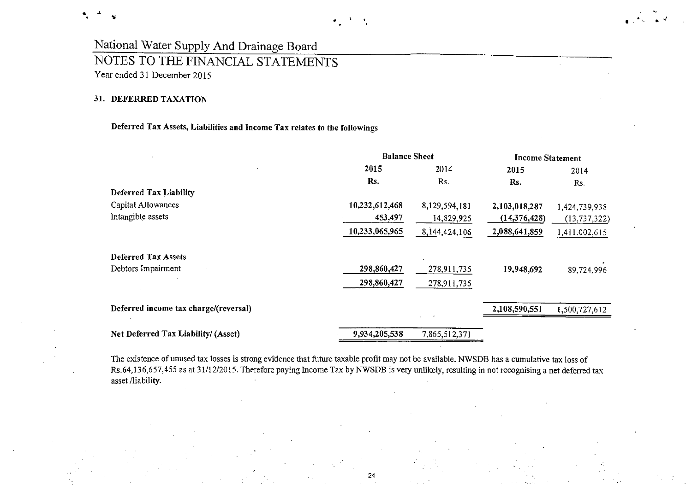## National Water Supply And Drainage Board NOTES TO THE FINANCIAL STATEMENTS Year ended 31 December 2015

#### 31. DEFERRED TAXATION

#### Deferred Tax Assets, Liabilities and Income Tax relates to the followings

|                                       | <b>Balance Sheet</b> | <b>Income Statement</b> |               |                |  |
|---------------------------------------|----------------------|-------------------------|---------------|----------------|--|
|                                       | 2015                 | 2014                    | 2015          | 2014           |  |
|                                       | Rs.                  | Rs.                     | Rs.           | Rs.            |  |
| <b>Deferred Tax Liability</b>         |                      |                         |               |                |  |
| Capital Allowances                    | 10,232,612,468       | 8,129,594,181           | 2,103,018,287 | 1,424,739,938  |  |
| Intangible assets                     | 453,497              | 14,829,925              | (14,376,428)  | (13, 737, 322) |  |
|                                       | 10,233,065,965       | 8,144,424,106           | 2,088,641,859 | 1,411,002,615  |  |
| <b>Deferred Tax Assets</b>            |                      |                         |               |                |  |
| Debtors Impairment                    | 298,860,427          | 278,911,735             | 19,948,692    | 89,724.996     |  |
|                                       | 298,860,427          | 278,911,735             |               |                |  |
| Deferred income tax charge/(reversal) |                      |                         | 2,108,590,551 | 1,500,727,612  |  |
| Net Deferred Tax Liability/ (Asset)   | 9,934,205,538        | 7,865,512,371           |               |                |  |

The existence of unused tax losses is strong evidence that future taxable profit may not be available. NWSDB has a cumulative tax loss of Rs.64,136,657,455 as at 31/12/2015. Therefore paying Income Tax by NWSDB is very unlikely, resulting in not recognising a net deferred tax asset /liability.

-24-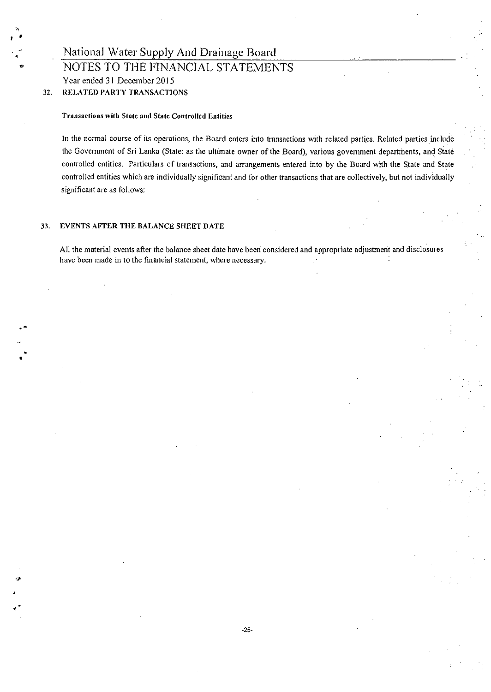NOTES TO THE FINANCIAL STATEMENTS Year ended 31 December 2015

32. RELATED PARTY TRANSACTIONS

#### Transactions with State and Slate Controlled Entities

In the normal course of its operations, the Board enters into transactions with related parties. Related parties include the Government of Sri Lanka (State: as the ultimate owner of the Board), various government departments, and State controlled entities. Particulars of transactions, and arrangements entered into by the Board with the State and State controlled entities which are individually significant and for other transactions that are collectively, but not individually significant are as follows:

#### 33. EVENTS AFTER THE BALANCE SHEET DATE

All the material events after the balance sheet date have been considered and appropriate adjustment and disclosures have been made in to the financial statement, where necessary.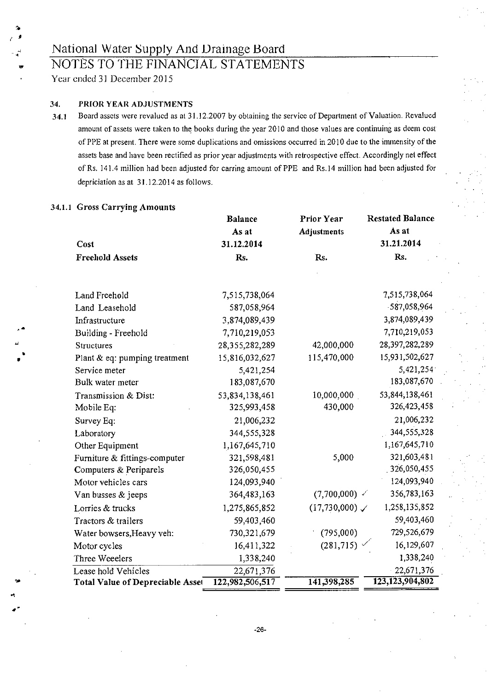## NOTES TO THE FINANCIAL STATEMENTS

Year ended 31 December 2015

"r•

•

#### 34. PRIOR YEAR ADJUSTMENTS

34.1 Board assets were revalued as at 31.12.2007 by obtaining the service of Department of Valuation. Revalued amount of assets were taken to the books during the year 2010 and those values are continuing as deem cost of PPE at present. There were some duplications and omissions occurred in 2010 due to the immensity of the assets base and have been rectified as prior year adjustments with retrospective effect. Accordingly net effect of Rs. 141.4 million had been adjusted for earring amount of PPE and Rs.14 million had been adjusted for depriciation as at 31.12.2014 as follows.

#### 34.1.1 Gross Carrying Amounts

|                                  | <b>Balance</b>  | Prior Year                  | <b>Restated Balance</b> |
|----------------------------------|-----------------|-----------------------------|-------------------------|
|                                  | As at           | Adjustments                 | As at                   |
| Cost                             | 31.12.2014      |                             | 31.21.2014              |
| <b>Freehold Assets</b>           | Rs.             | Rs.                         | Rs.                     |
|                                  |                 |                             |                         |
| Land Freehold                    | 7,515,738,064   |                             | 7,515,738,064           |
| Land Leasehold                   | 587,058,964     |                             | 587,058,964             |
| Infrastructure                   | 3,874,089,439   |                             | 3,874,089,439           |
| Building - Freehold              | 7,710,219,053   |                             | 7,710,219,053           |
| <b>Structures</b>                | 28,355,282,289  | 42,000,000                  | 28,397,282,289          |
|                                  |                 | 115,470,000                 | 15,931,502,627          |
| Plant & eq: pumping treatment    | 15,816,032,627  |                             | 5,421,254               |
| Service meter                    | 5,421,254       |                             | 183,087,670             |
| Bulk water meter                 | 183,087,670     |                             |                         |
| Transmission & Dist:             | 53,834,138,461  | 10,000,000                  | 53,844,138,461          |
| Mobile Eq:                       | 325,993,458     | 430,000                     | 326,423,458             |
| Survey Eq:                       | 21,006,232      |                             | 21,006,232              |
| Laboratory                       | 344,555,328     |                             | 344,555,328             |
| Other Equipment                  | 1,167,645,710   |                             | 1,167,645,710           |
| Furniture & fittings-computer    | 321,598,481     | 5,000                       | 321,603,481             |
| Computers & Periparels           | 326,050,455     |                             | 326,050,455             |
| Motor vehicles cars              | 124,093,940     |                             | 124,093,940             |
| Van busses & jeeps               | 364,483,163     | $(7,700,000)$ $\checkmark$  | 356,783,163             |
| Lorries & trucks                 | 1,275,865,852   | $(17, 730, 000) \checkmark$ | 1,258,135,852           |
| Tractors & trailers              | 59,403,460      |                             | 59,403,460              |
| Water bowsers, Heavy veh:        | 730,321,679     | (795,000)                   | 729,526,679             |
| Motor cycles                     | 16,411,322      | $(281,715)$ $\checkmark$    | 16,129,607              |
| Three Weeelers                   | 1,338,240       |                             | 1,338,240               |
| Lease hold Vehicles              | 22,671,376      |                             | 22,671,376              |
| Total Value of Depreciable Asset | 122,982,506,517 | 141,398,285                 | 123, 123, 904, 802      |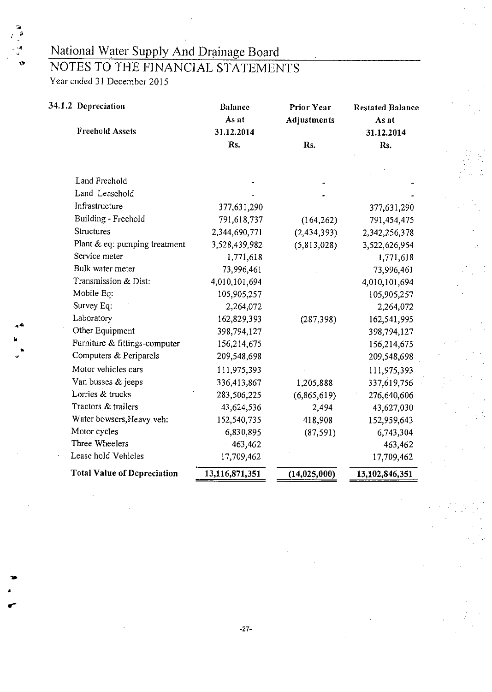## NOTES TO THE FINANCIAL STATEMENTS

Year ended 31 December 2915

**P** 

| 34.1.2 Depreciation<br><b>Freehold Assets</b> | <b>Balance</b><br>As at<br>31.12.2014 | Prior Year<br>Adjustments | <b>Restated Balance</b><br>As at<br>31.12.2014 |
|-----------------------------------------------|---------------------------------------|---------------------------|------------------------------------------------|
|                                               | Rs.                                   | Rs.                       | Rs.                                            |
| Land Freehold                                 |                                       |                           |                                                |
| Land Leasehold                                |                                       |                           |                                                |
| Infrastructure                                |                                       |                           |                                                |
| Building - Freehold                           | 377,631,290                           |                           | 377,631,290                                    |
| Structures                                    | 791,618,737                           | (164, 262)                | 791,454,475                                    |
| Plant & eq: pumping treatment                 | 2,344,690,771                         | (2, 434, 393)             | 2,342,256,378                                  |
| Service meter                                 | 3,528,439,982                         | (5, 813, 028)             | 3,522,626,954                                  |
| Bulk water meter                              | 1,771,618                             |                           | 1,771,618                                      |
| Transmission & Dist:                          | 73,996,461                            |                           | 73,996,461                                     |
| Mobile Eq:                                    | 4,010,101,694                         |                           | 4,010,101,694                                  |
| Survey Eq:                                    | 105,905,257                           |                           | 105,905,257                                    |
| Laboratory                                    | 2,264,072                             |                           | 2,264,072                                      |
| Other Equipment                               | 162,829,393                           | (287, 398)                | 162,541,995                                    |
| Furniture & fittings-computer                 | 398,794,127                           |                           | 398,794,127                                    |
|                                               | 156,214,675                           |                           | 156,214,675                                    |
| Computers & Periparels                        | 209,548,698                           |                           | 209,548,698                                    |
| Motor vehicles cars                           | 111,975,393                           |                           | 111,975,393                                    |
| Van busses & jeeps                            | 336,413,867                           | 1,205,888                 | 337,619,756                                    |
| Lorries & trucks                              | 283,506,225                           | (6,865,619)               | 276,640,606                                    |
| Tractors & trailers                           | 43,624,536                            | 2,494                     | 43,627,030                                     |
| Water bowsers, Heavy veh:                     | 152,540,735                           | 418,908                   | 152,959,643                                    |
| Motor cycles                                  | 6,830,895                             | (87, 591)                 | 6,743,304                                      |
| Three Wheelers                                | 463,462                               |                           | 463,462                                        |
| Lease hold Vehicles                           | 17,709,462                            |                           | 17,709,462                                     |
| <b>Total Value of Depreciation</b>            | 13,116,871,351                        | (14, 025, 000)            | 13,102,846,351                                 |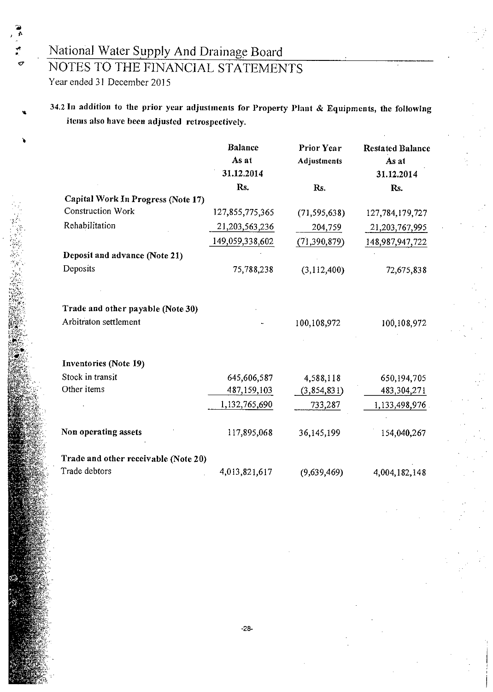,

## NOTES TO THE FINANCIAL STATEMENTS Year ended 31 December 2015

34.2 In addition to the prior year adjustments for Property Plant & Equipments, the following items also have been adjusted retrospectively.

|                                      | <b>Balance</b><br>As at<br>31.12.2014 | <b>Prior Year</b><br>Adjustments | <b>Restated Balance</b><br>As at<br>31.12.2014 |
|--------------------------------------|---------------------------------------|----------------------------------|------------------------------------------------|
|                                      | Rs.                                   | Rs.                              | Rs.                                            |
| Capital Work In Progress (Note 17)   |                                       |                                  |                                                |
| Construction Work                    | 127,855,775,365                       | (71, 595, 638)                   | 127,784,179,727                                |
| Rehabilitation                       | 21,203,563,236                        | 204,759                          | 21,203,767,995                                 |
|                                      | 149,059,338,602                       | (71, 390, 879)                   | 148,987,947,722                                |
| Deposit and advance (Note 21)        |                                       |                                  |                                                |
| Deposits                             | 75,788,238                            | (3, 112, 400)                    | 72,675,838                                     |
| Trade and other payable (Note 30)    |                                       |                                  |                                                |
| Arbitraton settlement                |                                       | 100,108,972                      | 100,108,972                                    |
| <b>Inventories (Note 19)</b>         |                                       |                                  |                                                |
| Stock in transit                     | 645,606,587                           | 4,588,118                        | 650,194,705                                    |
| Other items                          | 487,159,103                           | (3, 854, 831)                    | 483,304,271                                    |
|                                      | 1,132,765,690                         | 733,287                          | 1,133,498,976                                  |
| Non operating assets                 | 117,895,068                           | 36,145,199                       | 154,040,267                                    |
| Trade and other receivable (Note 20) |                                       |                                  |                                                |
| Trade debtors                        | 4,013,821,617                         | (9,639,469)                      | 4,004,182,148                                  |

-28-